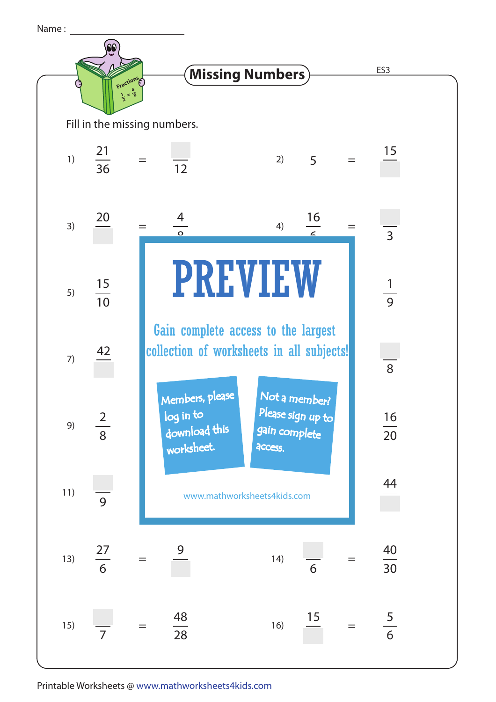